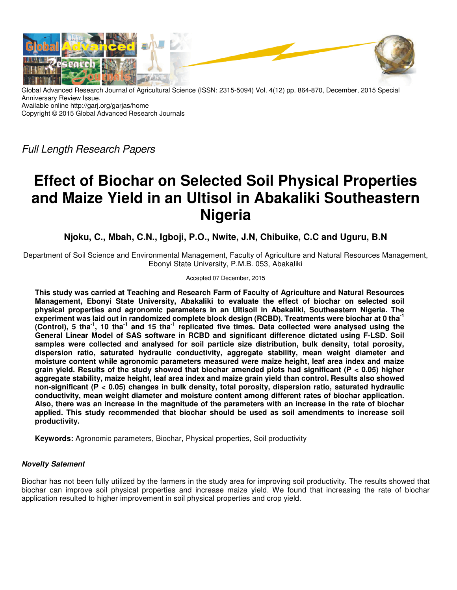

Global Advanced Research Journal of Agricultural Science (ISSN: 2315-5094) Vol. 4(12) pp. 864-870, December, 2015 Special Anniversary Review Issue. Available online http://garj.org/garjas/home Copyright © 2015 Global Advanced Research Journals

Full Length Research Papers

# **Effect of Biochar on Selected Soil Physical Properties and Maize Yield in an Ultisol in Abakaliki Southeastern Nigeria**

**Njoku, C., Mbah, C.N., Igboji, P.O., Nwite, J.N, Chibuike, C.C and Uguru, B.N** 

Department of Soil Science and Environmental Management, Faculty of Agriculture and Natural Resources Management, Ebonyi State University, P.M.B. 053, Abakaliki

Accepted 07 December, 2015

**This study was carried at Teaching and Research Farm of Faculty of Agriculture and Natural Resources Management, Ebonyi State University, Abakaliki to evaluate the effect of biochar on selected soil physical properties and agronomic parameters in an Ultisoil in Abakaliki, Southeastern Nigeria. The experiment was laid out in randomized complete block design (RCBD). Treatments were biochar at 0 tha-1 (Control), 5 tha-1, 10 tha-1 and 15 tha-1 replicated five times. Data collected were analysed using the General Linear Model of SAS software in RCBD and significant difference dictated using F-LSD. Soil samples were collected and analysed for soil particle size distribution, bulk density, total porosity, dispersion ratio, saturated hydraulic conductivity, aggregate stability, mean weight diameter and moisture content while agronomic parameters measured were maize height, leaf area index and maize grain yield. Results of the study showed that biochar amended plots had significant (P < 0.05) higher aggregate stability, maize height, leaf area index and maize grain yield than control. Results also showed non-significant (P < 0.05) changes in bulk density, total porosity, dispersion ratio, saturated hydraulic conductivity, mean weight diameter and moisture content among different rates of biochar application. Also, there was an increase in the magnitude of the parameters with an increase in the rate of biochar applied. This study recommended that biochar should be used as soil amendments to increase soil productivity.** 

**Keywords:** Agronomic parameters, Biochar, Physical properties, Soil productivity

# **Novelty Satement**

Biochar has not been fully utilized by the farmers in the study area for improving soil productivity. The results showed that biochar can improve soil physical properties and increase maize yield. We found that increasing the rate of biochar application resulted to higher improvement in soil physical properties and crop yield.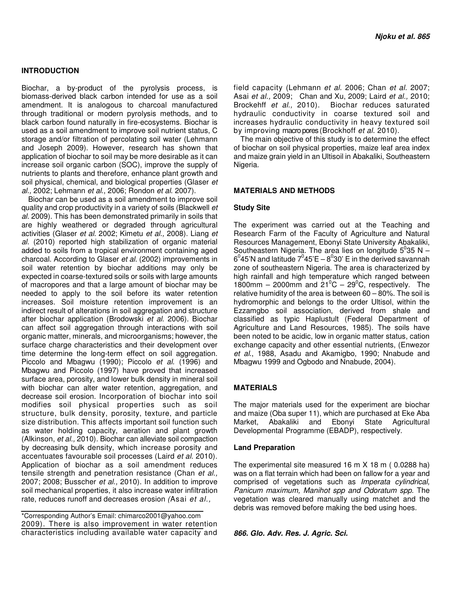## **INTRODUCTION**

Biochar, a by-product of the pyrolysis process, is biomass-derived black carbon intended for use as a soil amendment. It is analogous to charcoal manufactured through traditional or modern pyrolysis methods, and to black carbon found naturally in fire-ecosystems. Biochar is used as a soil amendment to improve soil nutrient status, C storage and/or filtration of percolating soil water (Lehmann and Joseph 2009). However, research has shown that application of biochar to soil may be more desirable as it can increase soil organic carbon (SOC), improve the supply of nutrients to plants and therefore, enhance plant growth and soil physical, chemical, and biological properties (Glaser et al., 2002; Lehmann et al., 2006; Rondon et al. 2007).

Biochar can be used as a soil amendment to improve soil quality and crop productivity in a variety of soils (Blackwell et al. 2009). This has been demonstrated primarily in soils that are highly weathered or degraded through agricultural activities (Glaser et al. 2002; Kimetu et al., 2008). Liang et al. (2010) reported high stabilization of organic material added to soils from a tropical environment containing aged charcoal. According to Glaser et al. (2002) improvements in soil water retention by biochar additions may only be expected in coarse-textured soils or soils with large amounts of macropores and that a large amount of biochar may be needed to apply to the soil before its water retention increases. Soil moisture retention improvement is an indirect result of alterations in soil aggregation and structure after biochar application (Brodowski et al. 2006). Biochar can affect soil aggregation through interactions with soil organic matter, minerals, and microorganisms; however, the surface charge characteristics and their development over time determine the long-term effect on soil aggregation. Piccolo and Mbagwu (1990); Piccolo et al. (1996) and Mbagwu and Piccolo (1997) have proved that increased surface area, porosity, and lower bulk density in mineral soil with biochar can alter water retention, aggregation, and decrease soil erosion. Incorporation of biochar into soil modifies soil physical properties such as soil structure, bulk density, porosity, texture, and particle size distribution. This affects important soil function such as water holding capacity, aeration and plant growth (Alkinson, et al., 2010). Biochar can alleviate soil compaction by decreasing bulk density, which increase porosity and accentuates favourable soil processes (Laird et al. 2010). Application of biochar as a soil amendment reduces tensile strength and penetration resistance (Chan et al., 2007; 2008; Busscher et al., 2010). In addition to improve soil mechanical properties, it also increase water infiltration rate, reduces runoff and decreases erosion (Asai et al.,

\*Corresponding Author's Email: chimarco2001@yahoo.com 2009). There is also improvement in water retention characteristics including available water capacity and field capacity (Lehmann et al. 2006; Chan et al. 2007; Asai et al., 2009; Chan and Xu, 2009; Laird et al., 2010; Brockehff et al., 2010). Biochar reduces saturated hydraulic conductivity in coarse textured soil and increases hydraulic conductivity in heavy textured soil by improving macropores (Brockhoff et al. 2010).

The main objective of this study is to determine the effect of biochar on soil physical properties, maize leaf area index and maize grain yield in an Ultisoil in Abakaliki, Southeastern Nigeria.

### **MATERIALS AND METHODS**

### **Study Site**

The experiment was carried out at the Teaching and Research Farm of the Faculty of Agriculture and Natural Resources Management, Ebonyi State University Abakaliki, Southeastern Nigeria. The area lies on longitude  $5^0$ 35 N - $6^0$ 45'N and latitude  $7^0$ 45'E –  $8^0$ 30' E in the derived savannah zone of southeastern Nigeria. The area is characterized by high rainfall and high temperature which ranged between 1800mm – 2000mm and  $21^{\circ}$ C – 29<sup>°</sup>C, respectively. The relative humidity of the area is between 60 – 80%. The soil is hydromorphic and belongs to the order Ultisol, within the Ezzamgbo soil association, derived from shale and classified as typic Haplustult (Federal Department of Agriculture and Land Resources, 1985). The soils have been noted to be acidic, low in organic matter status, cation exchange capacity and other essential nutrients, (Enwezor et al., 1988, Asadu and Akamigbo, 1990; Nnabude and Mbagwu 1999 and Ogbodo and Nnabude, 2004).

# **MATERIALS**

The major materials used for the experiment are biochar and maize (Oba super 11), which are purchased at Eke Aba Market, Abakaliki and Ebonyi State Agricultural Developmental Programme (EBADP), respectively.

#### **Land Preparation**

The experimental site measured 16 m X 18 m ( 0.0288 ha) was on a flat terrain which had been on fallow for a year and comprised of vegetations such as Imperata cylindrical, Panicum maximum, Manihot spp and Odoratum spp. The vegetation was cleared manually using matchet and the debris was removed before making the bed using hoes.

**866. Glo. Adv. Res. J. Agric. Sci.**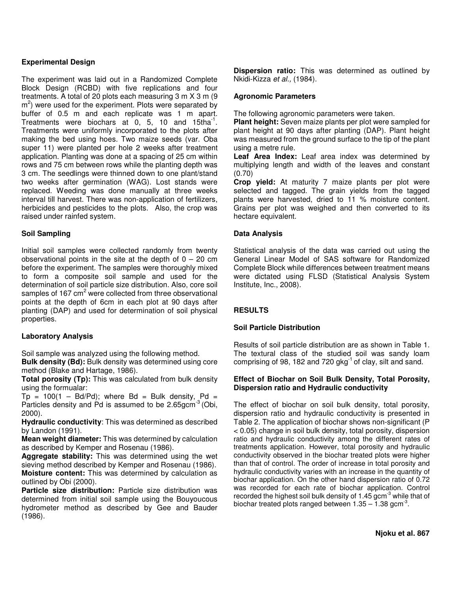# **Experimental Design**

The experiment was laid out in a Randomized Complete Block Design (RCBD) with five replications and four treatments. A total of 20 plots each measuring 3 m X 3 m (9 m<sup>2</sup>) were used for the experiment. Plots were separated by buffer of 0.5 m and each replicate was 1 m apart. Treatments were biochars at  $0, 5, 10$  and 15tha<sup>-1</sup>. Treatments were uniformly incorporated to the plots after making the bed using hoes. Two maize seeds (var. Oba super 11) were planted per hole 2 weeks after treatment application. Planting was done at a spacing of 25 cm within rows and 75 cm between rows while the planting depth was 3 cm. The seedlings were thinned down to one plant/stand two weeks after germination (WAG). Lost stands were replaced. Weeding was done manually at three weeks interval till harvest. There was non-application of fertilizers, herbicides and pesticides to the plots. Also, the crop was raised under rainfed system.

# **Soil Sampling**

Initial soil samples were collected randomly from twenty observational points in the site at the depth of  $0 - 20$  cm before the experiment. The samples were thoroughly mixed to form a composite soil sample and used for the determination of soil particle size distribution. Also, core soil samples of 167 cm<sup>2</sup> were collected from three observational points at the depth of 6cm in each plot at 90 days after planting (DAP) and used for determination of soil physical properties.

# **Laboratory Analysis**

Soil sample was analyzed using the following method.

**Bulk density (Bd):** Bulk density was determined using core method (Blake and Hartage, 1986).

**Total porosity (Tp):** This was calculated from bulk density using the formualar:

 $Tp = 100(1 - Bd/Pd)$ ; where Bd = Bulk density, Pd = Particles density and Pd is assumed to be 2.65gcm<sup>-3</sup> (Obi, 2000).

**Hydraulic conductivity**: This was determined as described by Landon (1991).

**Mean weight diameter:** This was determined by calculation as described by Kemper and Rosenau (1986).

**Aggregate stability:** This was determined using the wet sieving method described by Kemper and Rosenau (1986). **Moisture content:** This was determined by calculation as outlined by Obi (2000).

**Particle size distribution:** Particle size distribution was determined from initial soil sample using the Bouyoucous hydrometer method as described by Gee and Bauder (1986).

**Dispersion ratio:** This was determined as outlined by Nkidi-Kizza et al., (1984).

# **Agronomic Parameters**

The following agronomic parameters were taken.

**Plant height:** Seven maize plants per plot were sampled for plant height at 90 days after planting (DAP). Plant height was measured from the ground surface to the tip of the plant using a metre rule.

**Leaf Area Index:** Leaf area index was determined by multiplying length and width of the leaves and constant (0.70)

**Crop yield:** At maturity 7 maize plants per plot were selected and tagged. The grain yields from the tagged plants were harvested, dried to 11 % moisture content. Grains per plot was weighed and then converted to its hectare equivalent.

# **Data Analysis**

Statistical analysis of the data was carried out using the General Linear Model of SAS software for Randomized Complete Block while differences between treatment means were dictated using FLSD (Statistical Analysis System Institute, Inc., 2008).

# **RESULTS**

# **Soil Particle Distribution**

Results of soil particle distribution are as shown in Table 1. The textural class of the studied soil was sandy loam comprising of 98, 182 and 720 gkg $^{-1}$  of clay, silt and sand.

# **Effect of Biochar on Soil Bulk Density, Total Porosity, Dispersion ratio and Hydraulic conductivity**

The effect of biochar on soil bulk density, total porosity, dispersion ratio and hydraulic conductivity is presented in Table 2. The application of biochar shows non-significant (P < 0.05) change in soil bulk density, total porosity, dispersion ratio and hydraulic conductivity among the different rates of treatments application. However, total porosity and hydraulic conductivity observed in the biochar treated plots were higher than that of control. The order of increase in total porosity and hydraulic conductivity varies with an increase in the quantity of biochar application. On the other hand dispersion ratio of 0.72 was recorded for each rate of biochar application. Control recorded the highest soil bulk density of  $1.45$  gcm<sup>-3</sup> while that of biochar treated plots ranged between  $1.35 - 1.38$  gcm<sup>-3</sup>.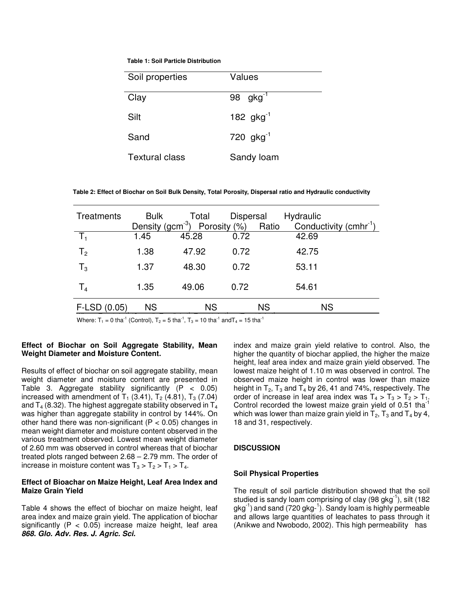**Table 1: Soil Particle Distribution** 

| Soil properties       | Values         |
|-----------------------|----------------|
| Clay                  | 98 $gkg^{-1}$  |
| Silt                  | 182 $gkg^{-1}$ |
| Sand                  | 720 $gkg^{-1}$ |
| <b>Textural class</b> | Sandy loam     |

 **Table 2: Effect of Biochar on Soil Bulk Density, Total Porosity, Dispersal ratio and Hydraulic conductivity** 

| Treatments        | <b>Bulk</b> | Total<br>Density (gcm <sup>-3</sup> ) Porosity $(\%)$ | Dispersal | Ratio     | Hydraulic<br>Conductivity $(cmhr^{-1})$ |
|-------------------|-------------|-------------------------------------------------------|-----------|-----------|-----------------------------------------|
| $T_1$             | 1.45        | 45.28                                                 | 0.72      |           | 42.69                                   |
| T <sub>2</sub>    | 1.38        | 47.92                                                 | 0.72      |           | 42.75                                   |
| $T_3$             | 1.37        | 48.30                                                 | 0.72      |           | 53.11                                   |
| T <sub>4</sub>    | 1.35        | 49.06                                                 | 0.72      |           | 54.61                                   |
| $F$ -LSD $(0.05)$ | <b>NS</b>   | <b>NS</b>                                             |           | <b>NS</b> | <b>NS</b>                               |

Where:  $T_1 = 0$  tha<sup>-1</sup> (Control),  $T_2 = 5$  tha<sup>-1</sup>,  $T_3 = 10$  tha<sup>-1</sup> and  $T_4 = 15$  tha<sup>-1</sup>

# **Effect of Biochar on Soil Aggregate Stability, Mean Weight Diameter and Moisture Content.**

Results of effect of biochar on soil aggregate stability, mean weight diameter and moisture content are presented in Table 3. Aggregate stability significantly  $(P < 0.05)$ increased with amendment of  $T_1$  (3.41),  $T_2$  (4.81),  $T_3$  (7.04) and  $T_4$  (8.32). The highest aggregate stability observed in  $T_4$ was higher than aggregate stability in control by 144%. On other hand there was non-significant ( $P < 0.05$ ) changes in mean weight diameter and moisture content observed in the various treatment observed. Lowest mean weight diameter of 2.60 mm was observed in control whereas that of biochar treated plots ranged between 2.68 – 2.79 mm. The order of increase in moisture content was  $T_3 > T_2 > T_1 > T_4$ .

## **Effect of Bioachar on Maize Height, Leaf Area Index and Maize Grain Yield**

Table 4 shows the effect of biochar on maize height, leaf area index and maize grain yield. The application of biochar significantly ( $P < 0.05$ ) increase maize height, leaf area **868. Glo. Adv. Res. J. Agric. Sci.** 

index and maize grain yield relative to control. Also, the higher the quantity of biochar applied, the higher the maize height, leaf area index and maize grain yield observed. The lowest maize height of 1.10 m was observed in control. The observed maize height in control was lower than maize height in  $T_2$ ,  $T_3$  and  $T_4$  by 26, 41 and 74%, respectively. The order of increase in leaf area index was  $T_4 > T_3 > T_2 > T_1$ . Control recorded the lowest maize grain yield of 0.51 tha<sup>-</sup> which was lower than maize grain yield in  $T_2$ ,  $T_3$  and  $T_4$  by 4, 18 and 31, respectively.

# **DISCUSSION**

### **Soil Physical Properties**

The result of soil particle distribution showed that the soil studied is sandy loam comprising of clay  $(98 \text{ gkg}^{-1})$ , silt  $(182 \text{ gkg}^{-1})$ gkg<sup>-1</sup>) and sand (720 gkg-<sup>1</sup>). Sandy loam is highly permeable and allows large quantities of leachates to pass through it (Anikwe and Nwobodo, 2002). This high permeability has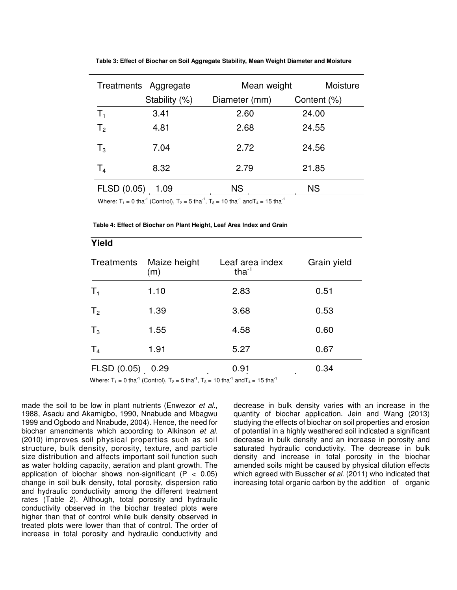|                | Treatments Aggregate |               | Moisture<br>Mean weight |  |
|----------------|----------------------|---------------|-------------------------|--|
|                | Stability (%)        | Diameter (mm) | Content (%)             |  |
| $T_1$          | 3.41                 | 2.60          | 24.00                   |  |
| T <sub>2</sub> | 4.81                 | 2.68          | 24.55                   |  |
| $T_3$          | 7.04                 | 2.72          | 24.56                   |  |
| T <sub>4</sub> | 8.32                 | 2.79          | 21.85                   |  |
| FLSD (0.05)    | 1.09                 | <b>NS</b>     | <b>NS</b>               |  |

Where:  $T_1 = 0$  tha<sup>-1</sup> (Control),  $T_2 = 5$  tha<sup>-1</sup>,  $T_3 = 10$  tha<sup>-1</sup> and  $T_4 = 15$  tha<sup>-1</sup>

#### **Table 4: Effect of Biochar on Plant Height, Leaf Area Index and Grain**

| Yield          |                     |                                |             |
|----------------|---------------------|--------------------------------|-------------|
| Treatments     | Maize height<br>(m) | Leaf area index<br>tha $^{-1}$ | Grain yield |
| $T_1$          | 1.10                | 2.83                           | 0.51        |
| T <sub>2</sub> | 1.39                | 3.68                           | 0.53        |
| $T_3$          | 1.55                | 4.58                           | 0.60        |
| T <sub>4</sub> | 1.91                | 5.27                           | 0.67        |
| FLSD (0.05)    | 0.29                | 0.91                           | 0.34        |

made the soil to be low in plant nutrients (Enwezor et al., 1988, Asadu and Akamigbo, 1990, Nnabude and Mbagwu 1999 and Ogbodo and Nnabude, 2004). Hence, the need for biochar amendments which acoording to Alkinson et al. (2010) improves soil physical properties such as soil structure, bulk density, porosity, texture, and particle size distribution and affects important soil function such as water holding capacity, aeration and plant growth. The application of biochar shows non-significant ( $P < 0.05$ ) change in soil bulk density, total porosity, dispersion ratio and hydraulic conductivity among the different treatment rates (Table 2). Although, total porosity and hydraulic conductivity observed in the biochar treated plots were higher than that of control while bulk density observed in treated plots were lower than that of control. The order of increase in total porosity and hydraulic conductivity and

<del>Yould be a</del>

decrease in bulk density varies with an increase in the quantity of biochar application. Jein and Wang (2013) studying the effects of biochar on soil properties and erosion of potential in a highly weathered soil indicated a significant decrease in bulk density and an increase in porosity and saturated hydraulic conductivity. The decrease in bulk density and increase in total porosity in the biochar amended soils might be caused by physical dilution effects which agreed with Busscher et al. (2011) who indicated that increasing total organic carbon by the addition of organic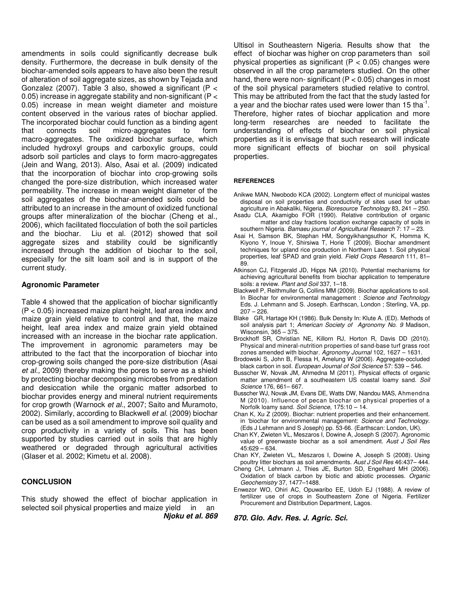amendments in soils could significantly decrease bulk density. Furthermore, the decrease in bulk density of the biochar-amended soils appears to have also been the result of alteration of soil aggregate sizes, as shown by Tejada and Gonzalez (2007). Table 3 also, showed a significant (P  $\lt$ 0.05) increase in aggregate stability and non-significant (P < 0.05) increase in mean weight diameter and moisture content observed in the various rates of biochar applied. The incorporated biochar could function as a binding agent that connects soil micro-aggregates to form macro-aggregates. The oxidized biochar surface, which included hydroxyl groups and carboxylic groups, could adsorb soil particles and clays to form macro-aggregates (Jein and Wang, 2013). Also, Asai et al. (2009) indicated that the incorporation of biochar into crop-growing soils changed the pore-size distribution, which increased water permeability. The increase in mean weight diameter of the soil aggregates of the biochar-amended soils could be attributed to an increase in the amount of oxidized functional groups after mineralization of the biochar (Cheng et al., 2006), which facilitated flocculation of both the soil particles and the biochar. Liu et al. (2012) showed that soil aggregate sizes and stability could be significantly increased through the addition of biochar to the soil, especially for the silt loam soil and is in support of the current study.

# **Agronomic Parameter**

Table 4 showed that the application of biochar significantly (P < 0.05) increased maize plant height, leaf area index and maize grain yield relative to control and that, the maize height, leaf area index and maize grain yield obtained increased with an increase in the biochar rate application. The improvement in agronomic parameters may be attributed to the fact that the incorporation of biochar into crop-growing soils changed the pore-size distribution (Asai et al., 2009) thereby making the pores to serve as a shield by protecting biochar decomposing microbes from predation and desiccation while the organic matter adsorbed to biochar provides energy and mineral nutrient requirements for crop growth (Warnock et al., 2007; Saito and Muramoto, 2002). Similarly, according to Blackwell et al. (2009) biochar can be used as a soil amendment to improve soil quality and crop productivity in a variety of soils. This has been supported by studies carried out in soils that are highly weathered or degraded through agricultural activities (Glaser et al. 2002; Kimetu et al. 2008).

### **CONCLUSION**

This study showed the effect of biochar application in selected soil physical properties and maize yield in an **Njoku et al. 869**  Ultisol in Southeastern Nigeria. Results show that the effect of biochar was higher on crop parameters than soil physical properties as significant ( $P < 0.05$ ) changes were observed in all the crop parameters studied. On the other hand, there were non-significant ( $P < 0.05$ ) changes in most of the soil physical parameters studied relative to control. This may be attributed from the fact that the study lasted for a year and the biochar rates used were lower than 15 tha $^{-1}$ . Therefore, higher rates of biochar application and more long-term researches are needed to facilitate the understanding of effects of biochar on soil physical properties as it is envisage that such research will indicate more significant effects of biochar on soil physical properties.

#### **REFERENCES**

- Anikwe MAN, Nwobodo KCA (2002). Longterm effect of municipal wastes disposal on soil properties and conductivity of sites used for urban agriculture in Abakaliki, Nigeria. Bioresource Technology 83, 241 - 250.
- Asadu CLA, Akamigbo FOR (1990). Relative contribution of organic matter and clay fractions location exchange capacity of soils in southern Nigeria. Bamaeu journal of Agricultural Research 7: 17 - 23.
- Asai H, Samson BK, Stephan HM, Songyikhangsuthor K, Homma K, Kiyono Y, Inoue Y, Shirsiwa T, Horie T (2009). Biochar amendment techniques for upland rice production in Northern Laos 1. Soil physical properties, leaf SPAD and grain yield. Field Crops Research 111, 81-89.
- Atkinson CJ, Fitzgerald JD, Hipps NA (2010). Potential mechanisms for achieving agricultural benefits from biochar application to temperature soils: a review. Plant and Soil 337, 1-18.
- Blackwell P, Reithmuller G, Collins MM (2009). Biochar applications to soil. In Biochar for environmental management : Science and Technology Eds. J. Lehmann and S. Joseph. Earthscan, London ; Sterling, VA, pp.  $207 - 226$ .
- Blake GR, Hartage KH (1986). Bulk Density In: Klute A. (ED). Methods of soil analysis part 1; American Society of Agronomy No. 9 Madison, Wisconsin, 365 – 375.
- Brockhoff SR, Christian NE, Killorn RJ, Horton R, Davis DD (2010). Physical and mineral-nutrition properties of sand-base turf grass root zones amended with biochar. Agronomy Journal 102, 1627 - 1631.
- Brodowski S, John B, Flessa H, Amelung W (2006). Aggregate-occluded black carbon in soil. European Journal of Soil Science 57: 539 – 546.
- Busscher W, Novak JM, Ahmedna M (2011). Physical effects of organic matter amendment of a southeastern US coastal loamy sand. Soil Science 176, 661– 667.
- Busscher WJ, Novak JM, Evans DE, Watts DW, Niandou MAS, Ahmendna M (2010). Influence of pecan biochar on physical properties of a Norfolk loamy sand. Soil Science, 175:10 - 14.
- Chan K, Xu Z (2009). Biochar: nutrient properties and their enhancement. in 'biochar for environmental management: Science and Technology. (Eds J Lehmann and S Joseph) pp. 53-66. (Earthscan: London, UK).
- Chan KY, Zwieten VL, Meszaros I, Dowine A, Joseph S (2007). Agronomic value of greenwaste biochar as a soil amendment. Aust J Soil Res 45:629 – 634.
- Chan KY, Zwieten VL, Meszaros I, Dowine A, Joseph S (2008). Using poultry litter biochars as soil amendments. Aust J Soil Res 46:437– 444.
- Cheng CH, Lehmann J, Thies JE, Burton SD, Engelhard MH (2006). Oxidation of black carbon by biotic and abiotic processes. Organic Geochemistry 37, 1477–1488.
- Enwezor WO, Ohiri AC, Opuwaribo EE, Udoh EJ (1988). A review of fertilizer use of crops in Southeastern Zone of Nigeria. Fertilizer Procurement and Distribution Department, Lagos.

**870. Glo. Adv. Res. J. Agric. Sci.**